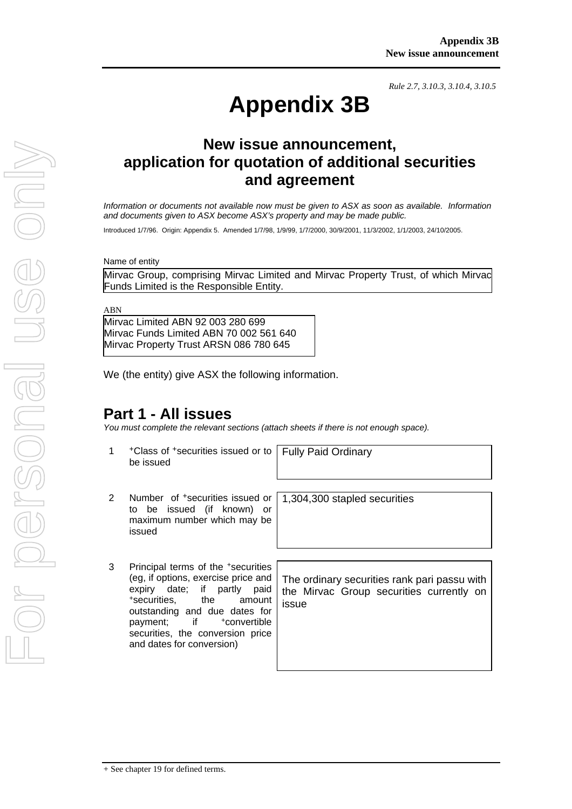*Rule 2.7, 3.10.3, 3.10.4, 3.10.5*

# **Appendix 3B**

# **New issue announcement, application for quotation of additional securities and agreement**

*Information or documents not available now must be given to ASX as soon as available. Information and documents given to ASX become ASX's property and may be made public.* 

Introduced 1/7/96. Origin: Appendix 5. Amended 1/7/98, 1/9/99, 1/7/2000, 30/9/2001, 11/3/2002, 1/1/2003, 24/10/2005.

Name of entity

Mirvac Group, comprising Mirvac Limited and Mirvac Property Trust, of which Mirvac Funds Limited is the Responsible Entity.

ABN

Mirvac Limited ABN 92 003 280 699 Mirvac Funds Limited ABN 70 002 561 640 Mirvac Property Trust ARSN 086 780 645

We (the entity) give ASX the following information.

## **Part 1 - All issues**

*You must complete the relevant sections (attach sheets if there is not enough space).*

1 +Class of +securities issued or to be issued

Fully Paid Ordinary

- 2 Number of +securities issued or to be issued (if known) or maximum number which may be issued
- 3 Principal terms of the +securities (eg, if options, exercise price and expiry date; if partly paid +securities, the amount outstanding and due dates for payment: if +convertible securities, the conversion price and dates for conversion)

1,304,300 stapled securities

The ordinary securities rank pari passu with the Mirvac Group securities currently on issue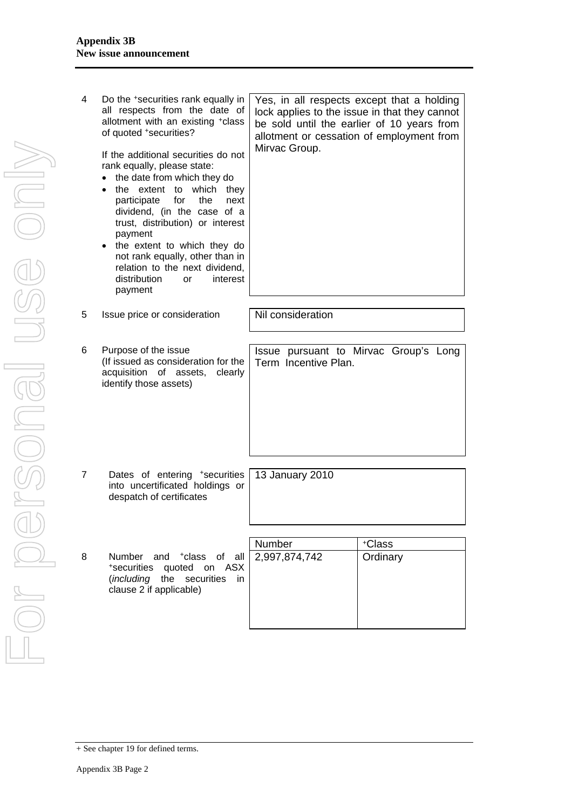| 4 | Do the *securities rank equally in<br>all respects from the date of<br>allotment with an existing +class<br>of quoted +securities?<br>If the additional securities do not<br>rank equally, please state:<br>the date from which they do<br>$\bullet$<br>the extent to which they<br>$\bullet$<br>participate<br>for<br>the<br>next<br>dividend, (in the case of a<br>trust, distribution) or interest<br>payment<br>the extent to which they do<br>$\bullet$<br>not rank equally, other than in<br>relation to the next dividend,<br>distribution<br>interest<br><b>or</b><br>payment | Yes, in all respects except that a holding<br>Mirvac Group. | lock applies to the issue in that they cannot<br>be sold until the earlier of 10 years from<br>allotment or cessation of employment from |
|---|---------------------------------------------------------------------------------------------------------------------------------------------------------------------------------------------------------------------------------------------------------------------------------------------------------------------------------------------------------------------------------------------------------------------------------------------------------------------------------------------------------------------------------------------------------------------------------------|-------------------------------------------------------------|------------------------------------------------------------------------------------------------------------------------------------------|
| 5 | Issue price or consideration                                                                                                                                                                                                                                                                                                                                                                                                                                                                                                                                                          | Nil consideration                                           |                                                                                                                                          |
|   |                                                                                                                                                                                                                                                                                                                                                                                                                                                                                                                                                                                       |                                                             |                                                                                                                                          |
| 6 | Purpose of the issue<br>(If issued as consideration for the<br>acquisition of assets,<br>clearly<br>identify those assets)                                                                                                                                                                                                                                                                                                                                                                                                                                                            | Term Incentive Plan.                                        | Issue pursuant to Mirvac Group's Long                                                                                                    |
| 7 | Dates of entering *securities<br>into uncertificated holdings or<br>despatch of certificates                                                                                                                                                                                                                                                                                                                                                                                                                                                                                          | 13 January 2010                                             |                                                                                                                                          |
|   |                                                                                                                                                                                                                                                                                                                                                                                                                                                                                                                                                                                       |                                                             |                                                                                                                                          |
| 8 | <b>Number</b><br>and <sup>+</sup> class of all<br>quoted on ASX<br>*securities<br>( <i>including</i> the securities<br>in.<br>clause 2 if applicable)                                                                                                                                                                                                                                                                                                                                                                                                                                 | Number<br>2,997,874,742                                     | +Class<br>Ordinary                                                                                                                       |

<sup>+</sup> See chapter 19 for defined terms.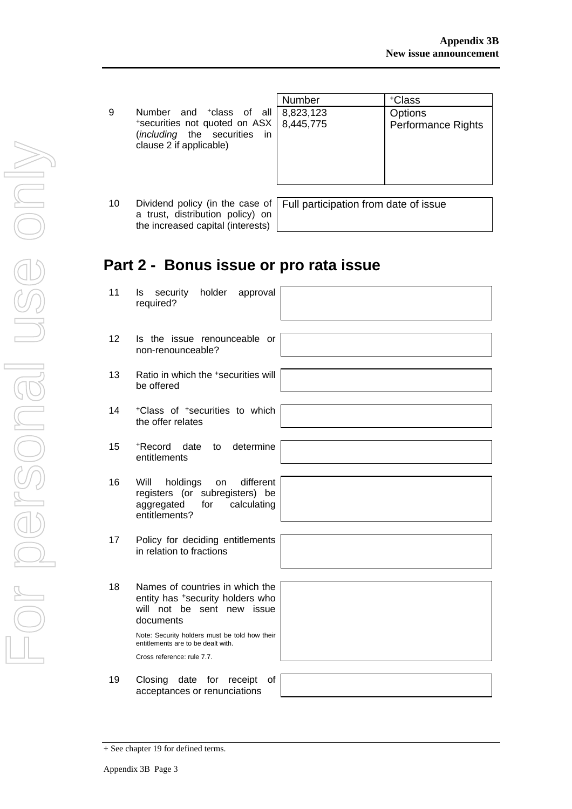| -9                      | Number and <sup>+</sup> class of all |  |  |  |
|-------------------------|--------------------------------------|--|--|--|
|                         | *securities not quoted on ASX        |  |  |  |
|                         | <i>(including</i> the securities in  |  |  |  |
| clause 2 if applicable) |                                      |  |  |  |

|                                                                                                                                                                     | Number | +Class                               |
|---------------------------------------------------------------------------------------------------------------------------------------------------------------------|--------|--------------------------------------|
| 9<br>Number and <sup>+</sup> class of all 8,823,123<br>*securities not quoted on ASX   8,445,775<br>( <i>including</i> the securities in<br>clause 2 if applicable) |        | Options<br><b>Performance Rights</b> |
|                                                                                                                                                                     |        |                                      |

10 Dividend policy (in the case of a trust, distribution policy) on the increased capital (interests)

Full participation from date of issue

## **Part 2 - Bonus issue or pro rata issue**

- 11 Is security holder approval required?
- 12 Is the issue renounceable or non-renounceable?
- 13 Ratio in which the +securities will be offered
- 14 +Class of +securities to which the offer relates
- 15 +Record date to determine entitlements
- 16 Will holdings on different registers (or subregisters) be aggregated for calculating entitlements?
- 17 Policy for deciding entitlements in relation to fractions
- 18 Names of countries in which the entity has +security holders who will not be sent new issue documents

Note: Security holders must be told how their entitlements are to be dealt with. Cross reference: rule 7.7.

19 Closing date for receipt of acceptances or renunciations



<sup>+</sup> See chapter 19 for defined terms.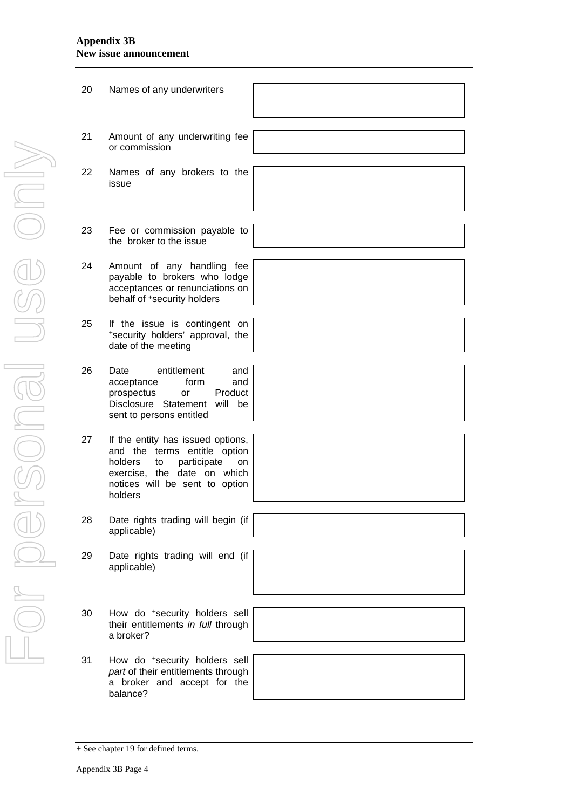#### **Appendix 3B New issue announcement**

| 20 | Names of any underwriters                                                                                                                                                           |  |
|----|-------------------------------------------------------------------------------------------------------------------------------------------------------------------------------------|--|
|    |                                                                                                                                                                                     |  |
| 21 | Amount of any underwriting fee<br>or commission                                                                                                                                     |  |
|    |                                                                                                                                                                                     |  |
| 22 | Names of any brokers to the<br>issue                                                                                                                                                |  |
|    |                                                                                                                                                                                     |  |
| 23 | Fee or commission payable to<br>the broker to the issue                                                                                                                             |  |
|    |                                                                                                                                                                                     |  |
| 24 | Amount of any handling fee<br>payable to brokers who lodge<br>acceptances or renunciations on<br>behalf of +security holders                                                        |  |
|    |                                                                                                                                                                                     |  |
| 25 | If the issue is contingent on<br>*security holders' approval, the<br>date of the meeting                                                                                            |  |
|    |                                                                                                                                                                                     |  |
| 26 | entitlement<br>Date<br>and<br>form<br>and<br>acceptance<br>Product<br>prospectus<br>or<br>Disclosure Statement<br>will be<br>sent to persons entitled                               |  |
|    |                                                                                                                                                                                     |  |
| 27 | If the entity has issued options,<br>and the terms entitle option<br>holders<br>participate<br>to<br>on<br>exercise, the date on which<br>notices will be sent to option<br>holders |  |
|    |                                                                                                                                                                                     |  |
| 28 | Date rights trading will begin (if<br>applicable)                                                                                                                                   |  |
|    |                                                                                                                                                                                     |  |
| 29 | Date rights trading will end (if<br>applicable)                                                                                                                                     |  |
|    |                                                                                                                                                                                     |  |
| 30 | How do *security holders sell<br>their entitlements in full through<br>a broker?                                                                                                    |  |
|    |                                                                                                                                                                                     |  |
| 31 | How do *security holders sell<br>part of their entitlements through<br>a broker and accept for the<br>balance?                                                                      |  |
|    |                                                                                                                                                                                     |  |

<sup>+</sup> See chapter 19 for defined terms.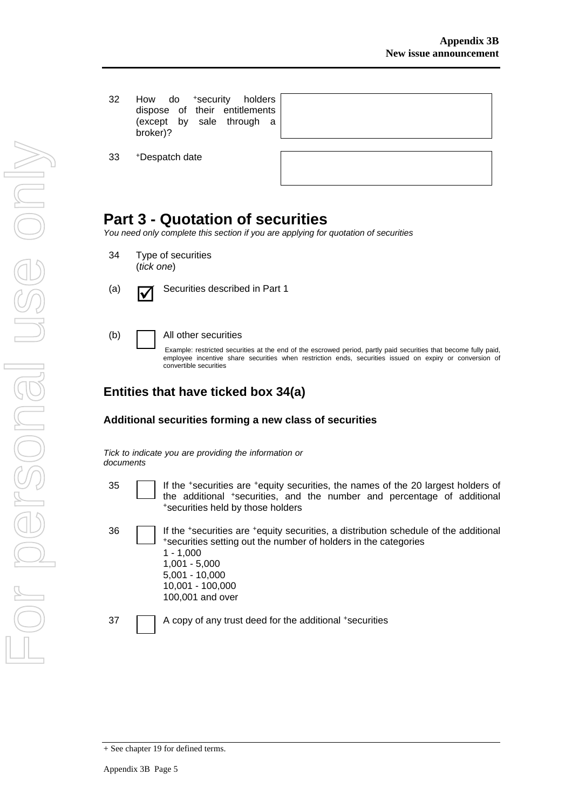32 How do +security holders dispose of their entitlements (except by sale through a broker)?

33 +Despatch date

| ອ" | ີ |  |
|----|---|--|
|    |   |  |
|    |   |  |
|    |   |  |

## **Part 3 - Quotation of securities**

*You need only complete this section if you are applying for quotation of securities* 

- 34 Type of securities (*tick one*)
- (a)  $\Box$  Securities described in Part 1

(b) All other securities

Example: restricted securities at the end of the escrowed period, partly paid securities that become fully paid, employee incentive share securities when restriction ends, securities issued on expiry or conversion of convertible securities

### **Entities that have ticked box 34(a)**

#### **Additional securities forming a new class of securities**

*Tick to indicate you are providing the information or documents*

- 35 **If the +securities are +equity securities, the names of the 20 largest holders of** the additional +securities, and the number and percentage of additional +securities held by those holders
- 

36 If the +securities are +equity securities, a distribution schedule of the additional +securities setting out the number of holders in the categories 1 - 1,000 1,001 - 5,000 5,001 - 10,000 10,001 - 100,000 100,001 and over

37 A copy of any trust deed for the additional +securities

<sup>+</sup> See chapter 19 for defined terms.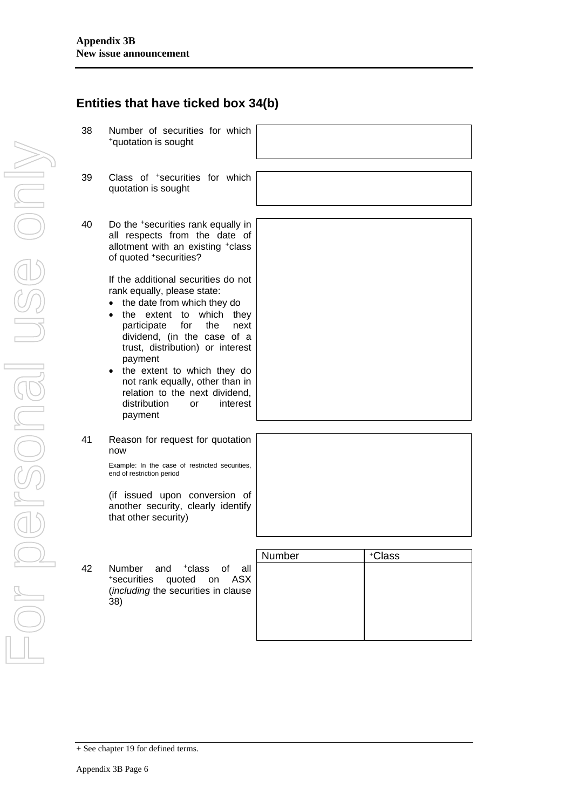(*including* the securities in clause 38)

| Number | +Class |
|--------|--------|
|        |        |
|        |        |
|        |        |
|        |        |
|        |        |
|        |        |

<sup>+</sup> See chapter 19 for defined terms.